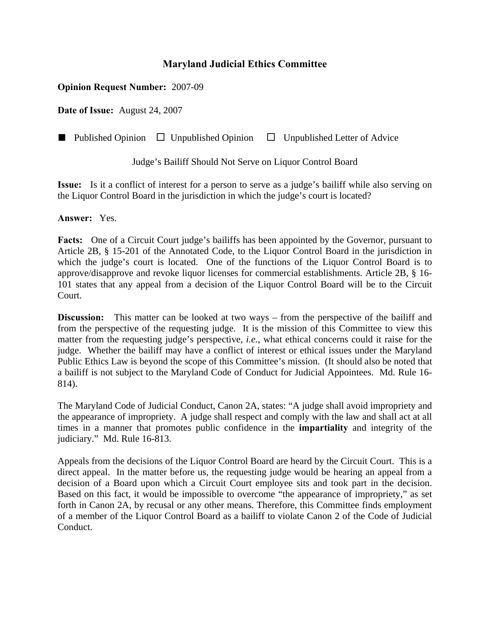## **Maryland Judicial Ethics Committee**

## **Opinion Request Number:** 2007-09

**Date of Issue:** August 24, 2007

■ Published Opinion □ Unpublished Opinion □ Unpublished Letter of Advice

Judge's Bailiff Should Not Serve on Liquor Control Board

**Issue:** Is it a conflict of interest for a person to serve as a judge's bailiff while also serving on the Liquor Control Board in the jurisdiction in which the judge's court is located?

**Answer:** Yes.

**Facts:** One of a Circuit Court judge's bailiffs has been appointed by the Governor, pursuant to Article 2B, § 15-201 of the Annotated Code, to the Liquor Control Board in the jurisdiction in which the judge's court is located. One of the functions of the Liquor Control Board is to approve/disapprove and revoke liquor licenses for commercial establishments. Article 2B, § 16- 101 states that any appeal from a decision of the Liquor Control Board will be to the Circuit Court.

**Discussion:** This matter can be looked at two ways – from the perspective of the bailiff and from the perspective of the requesting judge. It is the mission of this Committee to view this matter from the requesting judge's perspective, *i.e.*, what ethical concerns could it raise for the judge. Whether the bailiff may have a conflict of interest or ethical issues under the Maryland Public Ethics Law is beyond the scope of this Committee's mission. (It should also be noted that a bailiff is not subject to the Maryland Code of Conduct for Judicial Appointees. Md. Rule 16- 814).

The Maryland Code of Judicial Conduct, Canon 2A, states: "A judge shall avoid impropriety and the appearance of impropriety. A judge shall respect and comply with the law and shall act at all times in a manner that promotes public confidence in the **impartiality** and integrity of the judiciary." Md. Rule 16-813.

Appeals from the decisions of the Liquor Control Board are heard by the Circuit Court. This is a direct appeal. In the matter before us, the requesting judge would be hearing an appeal from a decision of a Board upon which a Circuit Court employee sits and took part in the decision. Based on this fact, it would be impossible to overcome "the appearance of impropriety," as set forth in Canon 2A, by recusal or any other means. Therefore, this Committee finds employment of a member of the Liquor Control Board as a bailiff to violate Canon 2 of the Code of Judicial Conduct.